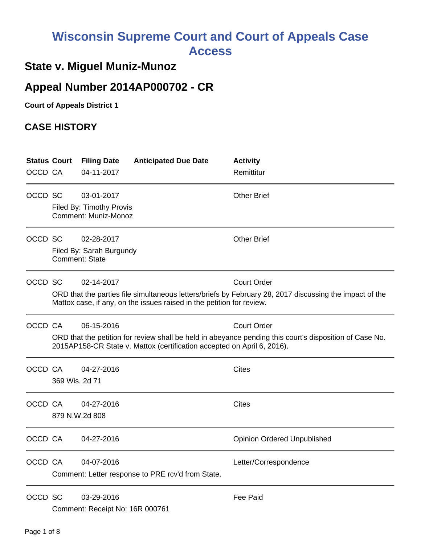# **Wisconsin Supreme Court and Court of Appeals Case Access**

## **State v. Miguel Muniz-Munoz**

## **Appeal Number 2014AP000702 - CR**

**Court of Appeals District 1**

### **CASE HISTORY**

| <b>Status Court</b> |                                                                                                                                                                                                                        | <b>Filing Date</b>                                                    | <b>Anticipated Due Date</b>                       | <b>Activity</b>                    |
|---------------------|------------------------------------------------------------------------------------------------------------------------------------------------------------------------------------------------------------------------|-----------------------------------------------------------------------|---------------------------------------------------|------------------------------------|
| OCCD CA             |                                                                                                                                                                                                                        | 04-11-2017                                                            |                                                   | Remittitur                         |
| OCCD SC             |                                                                                                                                                                                                                        | 03-01-2017<br>Filed By: Timothy Provis<br><b>Comment: Muniz-Monoz</b> |                                                   | <b>Other Brief</b>                 |
| OCCD SC             | 02-28-2017<br>Filed By: Sarah Burgundy<br><b>Comment: State</b>                                                                                                                                                        |                                                                       |                                                   | <b>Other Brief</b>                 |
| OCCD SC             | 02-14-2017<br><b>Court Order</b><br>ORD that the parties file simultaneous letters/briefs by February 28, 2017 discussing the impact of the<br>Mattox case, if any, on the issues raised in the petition for review.   |                                                                       |                                                   |                                    |
| OCCD CA             | 06-15-2016<br><b>Court Order</b><br>ORD that the petition for review shall be held in abeyance pending this court's disposition of Case No.<br>2015AP158-CR State v. Mattox (certification accepted on April 6, 2016). |                                                                       |                                                   |                                    |
| OCCD CA             | 04-27-2016<br>369 Wis. 2d 71                                                                                                                                                                                           |                                                                       |                                                   | <b>Cites</b>                       |
|                     | OCCD CA<br><b>Cites</b><br>04-27-2016<br>879 N.W.2d 808                                                                                                                                                                |                                                                       |                                                   |                                    |
| OCCD CA             |                                                                                                                                                                                                                        | 04-27-2016                                                            |                                                   | <b>Opinion Ordered Unpublished</b> |
| OCCD CA             |                                                                                                                                                                                                                        | 04-07-2016                                                            | Comment: Letter response to PRE rcv'd from State. | Letter/Correspondence              |
| OCCD SC             |                                                                                                                                                                                                                        | 03-29-2016<br>Comment: Receipt No: 16R 000761                         |                                                   | Fee Paid                           |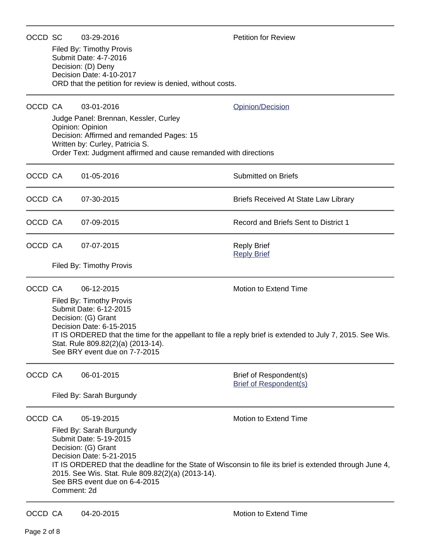| OCCD SC |                                                                                                                                                                                                                                                                                                                                                                      | 03-29-2016<br>Filed By: Timothy Provis<br>Submit Date: 4-7-2016<br>Decision: (D) Deny<br>Decision Date: 4-10-2017<br>ORD that the petition for review is denied, without costs.                                             | <b>Petition for Review</b>                              |  |  |  |
|---------|----------------------------------------------------------------------------------------------------------------------------------------------------------------------------------------------------------------------------------------------------------------------------------------------------------------------------------------------------------------------|-----------------------------------------------------------------------------------------------------------------------------------------------------------------------------------------------------------------------------|---------------------------------------------------------|--|--|--|
| OCCD CA |                                                                                                                                                                                                                                                                                                                                                                      | 03-01-2016<br>Judge Panel: Brennan, Kessler, Curley<br>Opinion: Opinion<br>Decision: Affirmed and remanded Pages: 15<br>Written by: Curley, Patricia S.<br>Order Text: Judgment affirmed and cause remanded with directions | <b>Opinion/Decision</b>                                 |  |  |  |
| OCCD CA |                                                                                                                                                                                                                                                                                                                                                                      | 01-05-2016                                                                                                                                                                                                                  | <b>Submitted on Briefs</b>                              |  |  |  |
| OCCD CA |                                                                                                                                                                                                                                                                                                                                                                      | 07-30-2015                                                                                                                                                                                                                  | Briefs Received At State Law Library                    |  |  |  |
| OCCD CA |                                                                                                                                                                                                                                                                                                                                                                      | 07-09-2015                                                                                                                                                                                                                  | Record and Briefs Sent to District 1                    |  |  |  |
| OCCD CA |                                                                                                                                                                                                                                                                                                                                                                      | 07-07-2015                                                                                                                                                                                                                  | <b>Reply Brief</b><br><b>Reply Brief</b>                |  |  |  |
|         |                                                                                                                                                                                                                                                                                                                                                                      | Filed By: Timothy Provis                                                                                                                                                                                                    |                                                         |  |  |  |
| OCCD CA | Motion to Extend Time<br>06-12-2015<br>Filed By: Timothy Provis<br>Submit Date: 6-12-2015<br>Decision: (G) Grant<br>Decision Date: 6-15-2015<br>IT IS ORDERED that the time for the appellant to file a reply brief is extended to July 7, 2015. See Wis.<br>Stat. Rule 809.82(2)(a) (2013-14).<br>See BRY event due on 7-7-2015                                     |                                                                                                                                                                                                                             |                                                         |  |  |  |
| OCCD CA |                                                                                                                                                                                                                                                                                                                                                                      | 06-01-2015<br>Filed By: Sarah Burgundy                                                                                                                                                                                      | Brief of Respondent(s)<br><b>Brief of Respondent(s)</b> |  |  |  |
| OCCD CA | 05-19-2015<br><b>Motion to Extend Time</b><br>Filed By: Sarah Burgundy<br>Submit Date: 5-19-2015<br>Decision: (G) Grant<br>Decision Date: 5-21-2015<br>IT IS ORDERED that the deadline for the State of Wisconsin to file its brief is extended through June 4,<br>2015. See Wis. Stat. Rule 809.82(2)(a) (2013-14).<br>See BRS event due on 6-4-2015<br>Comment: 2d |                                                                                                                                                                                                                             |                                                         |  |  |  |
| OCCD CA |                                                                                                                                                                                                                                                                                                                                                                      | 04-20-2015                                                                                                                                                                                                                  | Motion to Extend Time                                   |  |  |  |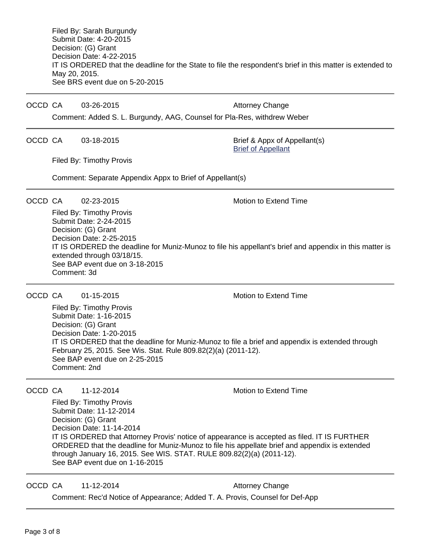Filed By: Sarah Burgundy Submit Date: 4-20-2015 Decision: (G) Grant Decision Date: 4-22-2015 IT IS ORDERED that the deadline for the State to file the respondent's brief in this matter is extended to May 20, 2015. See BRS event due on 5-20-2015

OCCD CA 03-26-2015 Attorney Change

Comment: Added S. L. Burgundy, AAG, Counsel for Pla-Res, withdrew Weber

OCCD CA 03-18-2015 Brief & Appx of Appellant(s)

[Brief of Appellant](https://acefiling.wicourts.gov/document/eFiled/2014AP000702/138119)

Filed By: Timothy Provis

Comment: Separate Appendix Appx to Brief of Appellant(s)

OCCD CA 02-23-2015 Motion to Extend Time

Filed By: Timothy Provis Submit Date: 2-24-2015 Decision: (G) Grant Decision Date: 2-25-2015 IT IS ORDERED the deadline for Muniz-Munoz to file his appellant's brief and appendix in this matter is extended through 03/18/15. See BAP event due on 3-18-2015 Comment: 3d

OCCD CA 01-15-2015 Motion to Extend Time

Filed By: Timothy Provis Submit Date: 1-16-2015 Decision: (G) Grant Decision Date: 1-20-2015 IT IS ORDERED that the deadline for Muniz-Munoz to file a brief and appendix is extended through February 25, 2015. See Wis. Stat. Rule 809.82(2)(a) (2011-12). See BAP event due on 2-25-2015 Comment: 2nd

OCCD CA 11-12-2014 Motion to Extend Time

Filed By: Timothy Provis Submit Date: 11-12-2014 Decision: (G) Grant Decision Date: 11-14-2014 IT IS ORDERED that Attorney Provis' notice of appearance is accepted as filed. IT IS FURTHER ORDERED that the deadline for Muniz-Munoz to file his appellate brief and appendix is extended through January 16, 2015. See WIS. STAT. RULE 809.82(2)(a) (2011-12). See BAP event due on 1-16-2015

OCCD CA 11-12-2014 **Attorney Change** 

Comment: Rec'd Notice of Appearance; Added T. A. Provis, Counsel for Def-App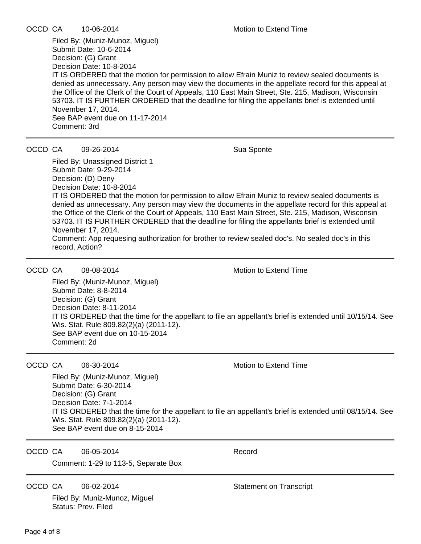|  | OCCD CA | 10-06-2014 | Motion to Extend Time |
|--|---------|------------|-----------------------|
|--|---------|------------|-----------------------|

Filed By: (Muniz-Munoz, Miguel) Submit Date: 10-6-2014 Decision: (G) Grant Decision Date: 10-8-2014 IT IS ORDERED that the motion for permission to allow Efrain Muniz to review sealed documents is denied as unnecessary. Any person may view the documents in the appellate record for this appeal at the Office of the Clerk of the Court of Appeals, 110 East Main Street, Ste. 215, Madison, Wisconsin 53703. IT IS FURTHER ORDERED that the deadline for filing the appellants brief is extended until November 17, 2014. See BAP event due on 11-17-2014 Comment: 3rd

OCCD CA 09-26-2014 Sua Sponte

Filed By: Unassigned District 1 Submit Date: 9-29-2014 Decision: (D) Deny Decision Date: 10-8-2014 IT IS ORDERED that the motion for permission to allow Efrain Muniz to review sealed documents is denied as unnecessary. Any person may view the documents in the appellate record for this appeal at the Office of the Clerk of the Court of Appeals, 110 East Main Street, Ste. 215, Madison, Wisconsin 53703. IT IS FURTHER ORDERED that the deadline for filing the appellants brief is extended until November 17, 2014. Comment: App requesing authorization for brother to review sealed doc's. No sealed doc's in this record, Action?

OCCD CA  $08-08-2014$  Motion to Extend Time

Filed By: (Muniz-Munoz, Miguel) Submit Date: 8-8-2014 Decision: (G) Grant Decision Date: 8-11-2014 IT IS ORDERED that the time for the appellant to file an appellant's brief is extended until 10/15/14. See Wis. Stat. Rule 809.82(2)(a) (2011-12). See BAP event due on 10-15-2014 Comment: 2d

OCCD CA 06-30-2014 Motion to Extend Time

Filed By: (Muniz-Munoz, Miguel) Submit Date: 6-30-2014 Decision: (G) Grant Decision Date: 7-1-2014 IT IS ORDERED that the time for the appellant to file an appellant's brief is extended until 08/15/14. See Wis. Stat. Rule 809.82(2)(a) (2011-12). See BAP event due on 8-15-2014

OCCD CA 06-05-2014 Record Comment: 1-29 to 113-5, Separate Box

OCCD CA  $06-02-2014$  Statement on Transcript

Filed By: Muniz-Munoz, Miguel Status: Prev. Filed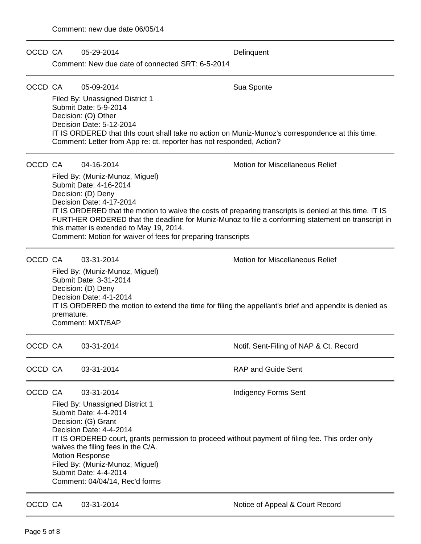| OCCD CA | 05-29-2014 |
|---------|------------|

**Delinquent** 

Comment: New due date of connected SRT: 6-5-2014

### OCCD CA 05-09-2014 Sua Sponte

Filed By: Unassigned District 1 Submit Date: 5-9-2014 Decision: (O) Other Decision Date: 5-12-2014 IT IS ORDERED that thIs court shall take no action on Muniz-Munoz's correspondence at this time. Comment: Letter from App re: ct. reporter has not responded, Action?

OCCD CA 04-16-2014 Motion for Miscellaneous Relief

Filed By: (Muniz-Munoz, Miguel) Submit Date: 4-16-2014 Decision: (D) Deny Decision Date: 4-17-2014 IT IS ORDERED that the motion to waive the costs of preparing transcripts is denied at this time. IT IS FURTHER ORDERED that the deadline for Muniz-Munoz to file a conforming statement on transcript in this matter is extended to May 19, 2014. Comment: Motion for waiver of fees for preparing transcripts

OCCD CA 03-31-2014 Motion for Miscellaneous Relief

Filed By: (Muniz-Munoz, Miguel) Submit Date: 3-31-2014 Decision: (D) Deny Decision Date: 4-1-2014 IT IS ORDERED the motion to extend the time for filing the appellant's brief and appendix is denied as premature. Comment: MXT/BAP

OCCD CA 03-31-2014 Notif. Sent-Filing of NAP & Ct. Record OCCD CA  $\qquad$  03-31-2014  $\qquad$  RAP and Guide Sent OCCD CA 03-31-2014 Indigency Forms Sent Filed By: Unassigned District 1 Submit Date: 4-4-2014 Decision: (G) Grant Decision Date: 4-4-2014 IT IS ORDERED court, grants permission to proceed without payment of filing fee. This order only waives the filing fees in the C/A. Motion Response

Filed By: (Muniz-Munoz, Miguel) Submit Date: 4-4-2014 Comment: 04/04/14, Rec'd forms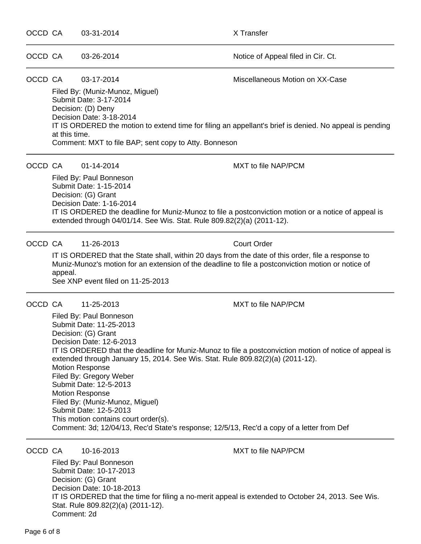Page 6 of 8

## OCCD CA 03-31-2014 X Transfer OCCD CA 03-26-2014 Notice of Appeal filed in Cir. Ct. OCCD CA 03-17-2014 Miscellaneous Motion on XX-Case Filed By: (Muniz-Munoz, Miguel) Submit Date: 3-17-2014 Decision: (D) Deny Decision Date: 3-18-2014 IT IS ORDERED the motion to extend time for filing an appellant's brief is denied. No appeal is pending at this time. Comment: MXT to file BAP; sent copy to Atty. Bonneson OCCD CA 01-14-2014 MXT to file NAP/PCM Filed By: Paul Bonneson Submit Date: 1-15-2014 Decision: (G) Grant Decision Date: 1-16-2014 IT IS ORDERED the deadline for Muniz-Munoz to file a postconviction motion or a notice of appeal is extended through 04/01/14. See Wis. Stat. Rule 809.82(2)(a) (2011-12). OCCD CA 11-26-2013 Court Order IT IS ORDERED that the State shall, within 20 days from the date of this order, file a response to Muniz-Munoz's motion for an extension of the deadline to file a postconviction motion or notice of appeal. See XNP event filed on 11-25-2013 OCCD CA 11-25-2013 MXT to file NAP/PCM Filed By: Paul Bonneson Submit Date: 11-25-2013 Decision: (G) Grant Decision Date: 12-6-2013 IT IS ORDERED that the deadline for Muniz-Munoz to file a postconviction motion of notice of appeal is extended through January 15, 2014. See Wis. Stat. Rule 809.82(2)(a) (2011-12). Motion Response Filed By: Gregory Weber Submit Date: 12-5-2013 Motion Response Filed By: (Muniz-Munoz, Miguel) Submit Date: 12-5-2013 This motion contains court order(s). Comment: 3d; 12/04/13, Rec'd State's response; 12/5/13, Rec'd a copy of a letter from Def OCCD CA 10-16-2013 MXT to file NAP/PCM

Filed By: Paul Bonneson Submit Date: 10-17-2013 Decision: (G) Grant Decision Date: 10-18-2013 IT IS ORDERED that the time for filing a no-merit appeal is extended to October 24, 2013. See Wis. Stat. Rule 809.82(2)(a) (2011-12). Comment: 2d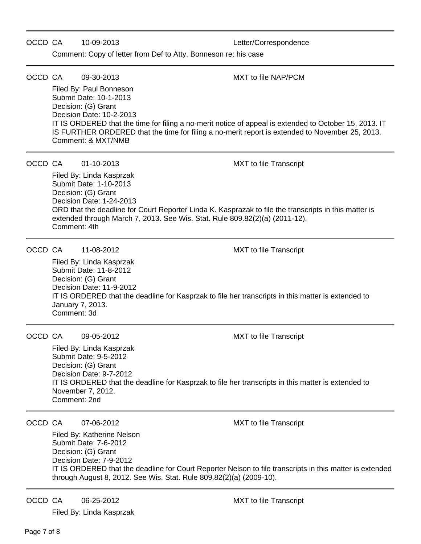### OCCD CA 10-09-2013 Letter/Correspondence

Comment: Copy of letter from Def to Atty. Bonneson re: his case

### OCCD CA 09-30-2013 MXT to file NAP/PCM

Filed By: Paul Bonneson Submit Date: 10-1-2013 Decision: (G) Grant Decision Date: 10-2-2013 IT IS ORDERED that the time for filing a no-merit notice of appeal is extended to October 15, 2013. IT IS FURTHER ORDERED that the time for filing a no-merit report is extended to November 25, 2013. Comment: & MXT/NMB

#### OCCD CA 01-10-2013 MXT to file Transcript

Filed By: Linda Kasprzak Submit Date: 1-10-2013 Decision: (G) Grant Decision Date: 1-24-2013 ORD that the deadline for Court Reporter Linda K. Kasprazak to file the transcripts in this matter is extended through March 7, 2013. See Wis. Stat. Rule 809.82(2)(a) (2011-12). Comment: 4th

#### OCCD CA 11-08-2012 MXT to file Transcript

Filed By: Linda Kasprzak Submit Date: 11-8-2012 Decision: (G) Grant Decision Date: 11-9-2012 IT IS ORDERED that the deadline for Kasprzak to file her transcripts in this matter is extended to January 7, 2013. Comment: 3d

OCCD CA 09-05-2012 MXT to file Transcript

Filed By: Linda Kasprzak Submit Date: 9-5-2012 Decision: (G) Grant Decision Date: 9-7-2012 IT IS ORDERED that the deadline for Kasprzak to file her transcripts in this matter is extended to November 7, 2012. Comment: 2nd

OCCD CA 07-06-2012 MXT to file Transcript

Filed By: Katherine Nelson Submit Date: 7-6-2012 Decision: (G) Grant Decision Date: 7-9-2012 IT IS ORDERED that the deadline for Court Reporter Nelson to file transcripts in this matter is extended through August 8, 2012. See Wis. Stat. Rule 809.82(2)(a) (2009-10).

OCCD CA 06-25-2012 MXT to file Transcript Filed By: Linda Kasprzak